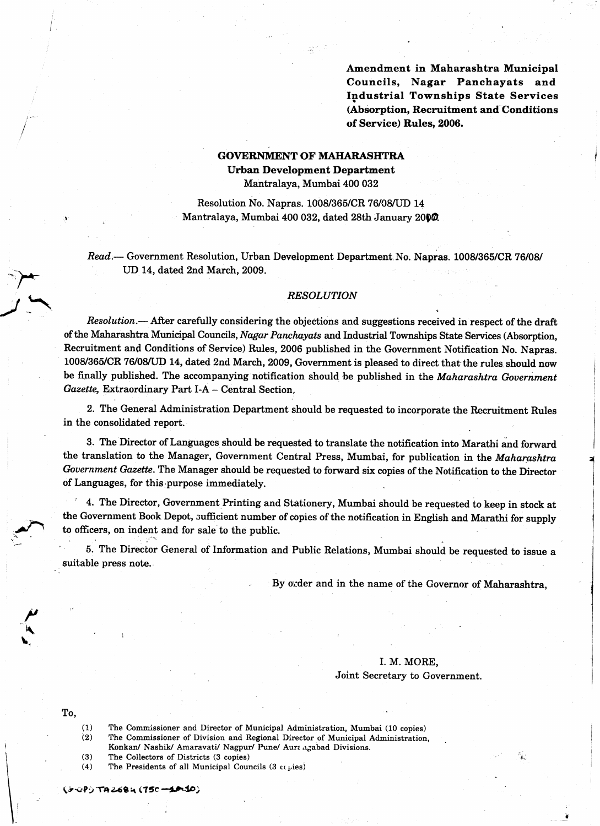Amendment in Maharashtra Municipal Councils, Nagar Panchayats and Industrial Townships State Services (Absorption, Recruitment and Conditions of Service) Rules, 2006.

## GOVERNMENT OF MAHARASHTRA Urban Development Department

Mantralaya, Mumbai 400 032

Resolution No. Napras. 1008/365/CR 76/0S/UD 14 Mantralaya, Mumbai 400 032, dated 28th January 2000.

Read.— Government Resolution, Urban Development Department No. Napras. 1008/365/CR 76/08/ UD 14, dated 2nd March, 2009.

#### **RESOLUTION**

Resolution.— After carefully considering the objections and suggestions received in respect of the draft of the Maharashtra Municipal Councils, Nagar Panchayats and Industrial Townships State Services (Absorption, Recruitment and Conditions of Service) Rules, 2006 published in the Government Notification No. Napras. 1008/365/CR 76/08/UD 14, dated 2nd March, 2009, Government is pleased to direct that the rules should now be finally published. The accompanying notification should be published in the Maharashtra Government Gazette, Extraordinary Part I-A - Central Section,

2. The General Administration Department should be requested to incorporate the Recruitment Rules in the consolidated report.

3. The Director of Languages should be requested to translate the notification into Marathi and forward the translation to the Manager, Government Central Press, Mumbai, for publication in the Maharashtra Government Gazette. The Manager should be requested to forward six copies of the Notification to the Director of Languages, for this purpose immediately.

<sup>1</sup> 4. The Director, Government Printing and Stationery, Mumbai should be requested to keep in stock at the Govemment Book Depot, sufficient number of copies of the notification in Engtish and Marathi for supply to officers, on indent and for sale to the public.

5. The Director General of Information and Public Relations, Mumbai should be requested to issue a suitable press note.

By order and in the name of the Governor of Maharashtra,

### I. M. MORE, Joint Secretary to Governnent.

f'

 $\mathbf{I}$ 

To,

-/a

.f

 $\blacktriangleright$  $\ddot{\phantom{0}}$ 

」

- $(1)$ The Commissioner and Director of Municipal Administration, Mumbai (10 copies)
- The Commissioner of Division and Regional Director of Municipal Administration,  $(2)$ Konkan/ Nashik/ Amaravati/ Nagpur/ Pune/ Aura agabad Divisions.
- $(3)$ The Collectors of Districts (3 copies)
- The Presidents of all Municipal Councils (3  $c$ t pies)  $(4)$

(5-0P) TA 2684 (750 **-40-10**)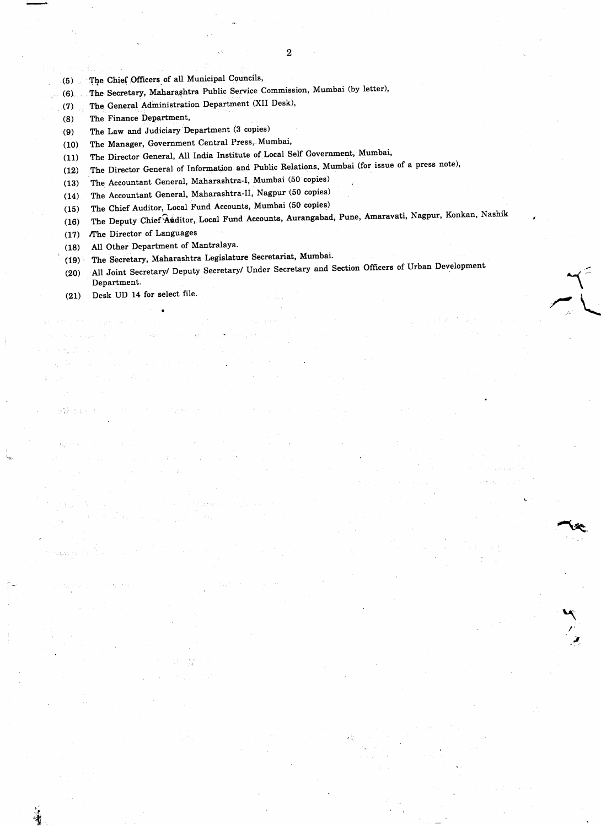- The Chief Officers of all Municipal Councils,  $(5)$
- The Secretary, Maharashtra Public Service Commission, Mumbai (by letter),  $(6)$
- The General Administration Department (XII Desk),  $(7)$
- The Finance Department,  $(8)$
- The Law and Judiciary Department (3 copies)  $(9)$
- The Manager, Government Central Press, Mumbai,  $(10)$
- The Director General, All India Institute of Local Self Government, Mumbai,  $(11)$
- The Director General of Information and Public Relations, Mumbai (for issue of a press note),  $(12)$
- The Accountant General, Maharashtra-I, Mumbai (50 copies)  $(13)$
- The Accountant General, Maharashtra-II, Nagpur (50 copies)  $(14)$
- The Chief Auditor, Local Fund Accounts, Mumbai (50 copies)  $(15)$
- The Deputy Chief Auditor, Local Fund Accounts, Aurangabad, Pune, Amaravati, Nagpur, Konkan, Nashik  $(16)$
- The Director of Languages  $(17)$
- All Other Department of Mantralaya.  $(18)$
- The Secretary, Maharashtra Legislature Secretariat, Mumbai.  $(19)$
- All Joint Secretary/ Deputy Secretary/ Under Secretary and Section Officers of Urban Development  $(20)$ Department.
- Desk UD 14 for select file.  $(21)$

 $\rightarrow$   $\sim$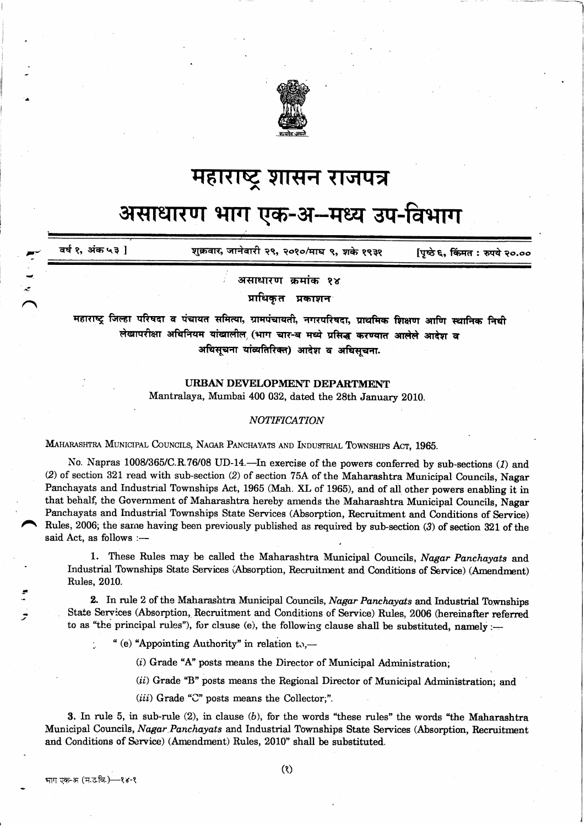

## महाराष्ट्र शासन राजपत्र

# असाधारण भाग एक-अ–मध्य उप-विभाग

वर्ष १, अंक ५३ । शुक्रवार, जानेवारी २९, २०१०/माघ ९, शके १९३१ पिष्ठे ६. किंमत : रुपये २०.००

असाधारण कमांक १४

प्राधिकृत प्रकाशन

महाराष्ट्र जिल्हा परिषदा व पंचायत समित्या, ग्रामपंचायती, नगरपरिषदा, प्राथमिक शिक्षण आणि स्थानिक निधी लेखापरीक्षा अधिनियम यांखालील (भाग चार-ब मध्ये प्रसिद्ध करण्यात आलेले आदेश व अधिसूचना यांव्यतिरिक्त) आदेश व अधिसचना.

### URBAN DEVELOPMENT DEPARTMENT

Mantralaya, Mumbai 400 032, dated the 28th January 2010.

### **NOTIFICATION**

MAHARASHTRA MUNICIPAL COUNCILS, NAGAR PANCHAYATS AND INDUSTRIAL TOWNSHIPS ACT, 1965.

No. Napras 1008/365/C.R.76/08 UD-14. - In exercise of the powers conferred by sub-sections (1) and (2) of section 321 read with sub-section (2) of section 75A of the Maharashtra Municipal Councils, Nagar Panchayats and Industrial Townships Act, 1965 (Mah. XL of 1965), and of all other powers enabling it in that behalf, the Government of Maharashtra hereby amends the Maharashtra Municipal Councils, Nagar Panchayats and Industrial Townships State Services (Absorption, Recruitment and Conditions of Service) Rules, 2006; the same having been previously published as required by sub-section (3) of section 321 of the said Act, as follows :-

1. These Rules may be called the Maharashtra Municipal Councils, Nagar Panchayats and Industrial Townships State Services (Absorption, Recruitment and Conditions of Service) (Amendment) Rules, 2010.

2. In rule 2 of the Maharashtra Municipal Councils, Nagar Panchayats and Industrial Townships State Services (Absorption, Recruitment and Conditions of Service) Rules, 2006 (hereinafter referred to as "the principal rules"), for clause (e), the following clause shall be substituted, namely :-

" (e) "Appointing Authority" in relation to.—

(i) Grade "A" posts means the Director of Municipal Administration;

(ii) Grade "B" posts means the Regional Director of Municipal Administration; and

 $(iii)$  Grade "C" posts means the Collector;".

3. In rule 5, in sub-rule  $(2)$ , in clause  $(b)$ , for the words "these rules" the words "the Maharashtra" Municipal Councils, Nagar Panchayats and Industrial Townships State Services (Absorption, Recruitment and Conditions of Service) (Amendment) Rules, 2010" shall be substituted.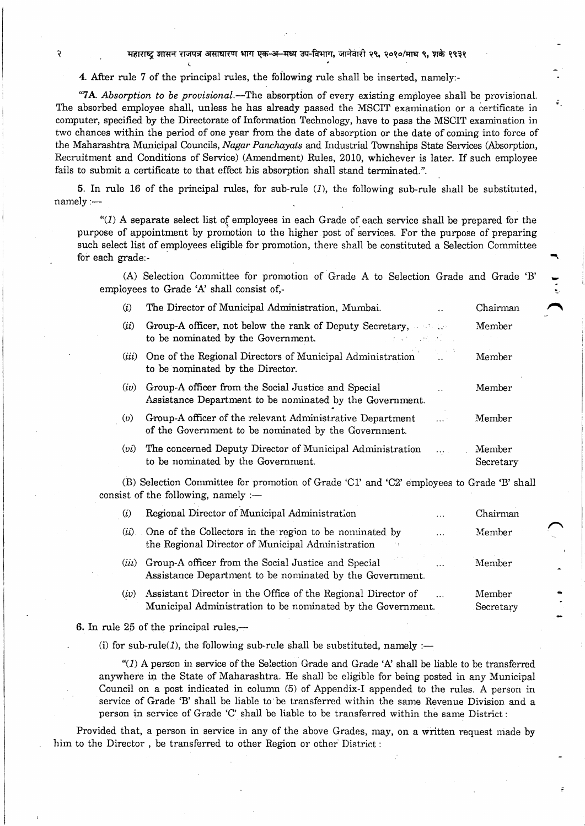महाराष्ट्र शासन राजपत्र असाघारण भाग एक-अ-मध्य उप-विभाग, जानेवारी २९, २०१०/माघ ९, शके १९३१

4. After rule 7 of the principal rules, the following rule shall be inserted, namely:-

(

.

.

२

"7A. Absorption to be provisional.—The absorption of every existing employee shall be provisional. The absorbed employee shall, unless he has already passed the MSCIT examination or a certificate in computer, specified by the Directorate of Information Technology, have to pass the MSCIT examination in two chances within the period of one year from the date of absorption or the date of coming into force of the Maharashtra Municipal Councils, Nagar Panchayats and Industrial Townships State Services (Absorption, Recruitment and Conditions of Service) (Amendment) Ruies, 2010, whichever is later. If such employee fails to submit a certificate to that effect his absorption shall stand terminated.".

-

5. In rule 16 of the principal rules, for sub-rule  $(l)$ , the following sub-rule shall be substituted, namely:--

" $(1)$  A separate select list of employees in each Grade of each service shall be prepared for the purpose of appointment by promotion to the higher post of services. For the purpose of preparing such select list of employees eligible for promotion, there shall be constituted a Selection Committee for each grade:-

(A) Selection Committee for promotion of Grade A to Selection Grade and Grade 'B' employees to Grade 'A' shall consist of,-

- (i) The Director of Municipal Administration, Mumbai. . . . . . . . Chairman
- (ii) Group-A officer, not below the rank of Deputy Secretary, Member to be nominated by the Government. (*iii*) One of the Regional Directors of Municipal Administration 1. Member
- to be nominated by the Director.
- $(iv)$  Group-A officer from the Social Justice and Special ... Member Assistance Department to be nominated by the Government.
- (v) Group-A officer of the relevant Administrative Department  $\ldots$  Member of the Government to be nominated by the Government.
- (*vi*) The concerned Deputy Director of Municipal Administration ... Member to be nominated by the Government. Secretary

(B) Selection Committee for promoiion of Grade 'CL' and 'C2' employees to Grade 'B' shall consist of the following, namely  $:$  --

| Regional Director of Municipal Administration<br>$\cdots$                                                                    | Chairman                                                             |  |
|------------------------------------------------------------------------------------------------------------------------------|----------------------------------------------------------------------|--|
| $\cdots$<br>the Regional Director of Municipal Administration                                                                | Member                                                               |  |
| Group-A officer from the Social Justice and Special<br>$\ddotsc$<br>Assistance Department to be nominated by the Government. | Member                                                               |  |
| Assistant Director in the Office of the Regional Director of<br>Municipal Administration to be nominated by the Government.  | Member<br>Secretary                                                  |  |
|                                                                                                                              | ( <i>ii</i> ) One of the Collectors in the region to be nominated by |  |

6. In rule  $25$  of the principal rules,--

(i) for sub-rule(1), the following sub-rule shall be substituted, namely :-

" $(1)$  A person in service of the Selection Grade and Grade 'A' shall be liable to be transferred anywhere in the State of Maharashtra. He shall be eligible for being posted in any Municipal Council on a post indicated in column (5) of Appendix-I appended to the rules. A person in service of Grade 'B' shall be liable to be transferred within the same Revenue Division and a person in service of Grade 'C' shall be liable to be transferred within the same District :

Provided that, a person in service in any of the above Grades, may, on a written request made by him to the Director, be transferred to other Region or other District: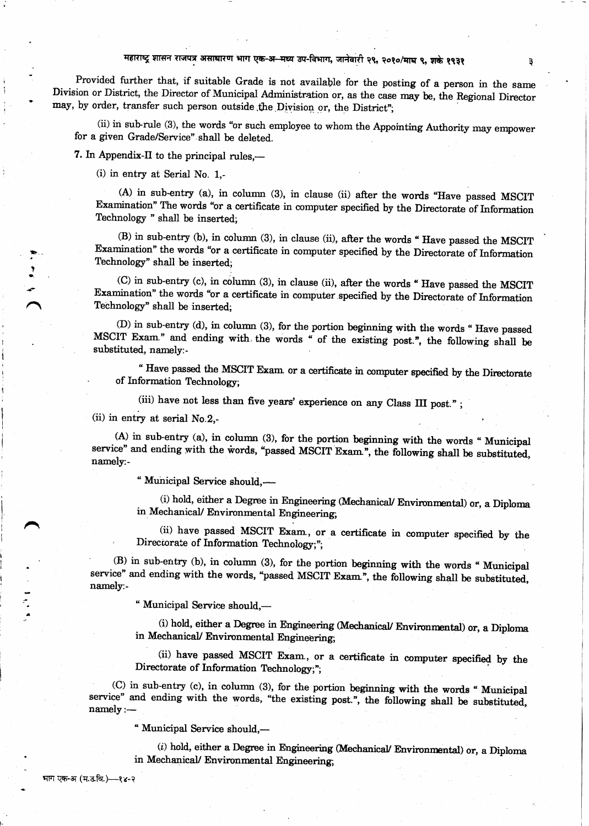### महाराष्ट्र शासन राजपत्र असाधारण भाग एक-अ मध्य उप-विभाग, जानेवारी २९, २०१०/माघ ९, शके १९३१

Provided further that, if suitable Grade is not available for the posting of a person in the same Division or District, the Director of Municipal Administration or, as the case may be, the Regional Director may, by order, transfer such person outside the Division or, the District";

(ii) in sub-rule (3), the words "or such employee to whom the Appointing Authority may empower for a given Grade/Service" shall be deleted.

7. In Appendix-II to the principal rules,—

(i) in entry at Serial No. 1.-

(A) in sub-entry (a), in column (3), in clause (ii) after the words "Have passed MSCIT Examination" The words "or a certificate in computer specified by the Directorate of Information Technology " shall be inserted;

(B) in sub-entry (b), in column (3), in clause (ii), after the words "Have passed the MSCIT Examination" the words "or a certificate in computer specified by the Directorate of Information Technology" shall be inserted:

(C) in sub-entry (c), in column (3), in clause (ii), after the words "Have passed the MSCIT Examination" the words "or a certificate in computer specified by the Directorate of Information Technology" shall be inserted.

(D) in sub-entry (d), in column (3), for the portion beginning with the words "Have passed MSCIT Exam." and ending with the words " of the existing post.", the following shall be substituted, namely:-

" Have passed the MSCIT Exam or a certificate in computer specified by the Directorate of Information Technology;

(iii) have not less than five years' experience on any Class III post.";

(ii) in entry at serial  $No.2$ .

(A) in sub-entry (a), in column (3), for the portion beginning with the words "Municipal service" and ending with the words, "passed MSCIT Exam.", the following shall be substituted, namely:-

" Municipal Service should,-

(i) hold, either a Degree in Engineering (Mechanical/ Environmental) or, a Diploma in Mechanical/ Environmental Engineering;

(ii) have passed MSCIT Exam, or a certificate in computer specified by the Directorate of Information Technology;";

(B) in sub-entry (b), in column (3), for the portion beginning with the words "Municipal service" and ending with the words, "passed MSCIT Exam", the following shall be substituted, namely:-

"Municipal Service should,-

(i) hold, either a Degree in Engineering (Mechanical/ Environmental) or, a Diploma in Mechanical/ Environmental Engineering;

(ii) have passed MSCIT Exam., or a certificate in computer specified by the Directorate of Information Technology;";

(C) in sub-entry (c), in column (3), for the portion beginning with the words "Municipal service" and ending with the words, "the existing post.", the following shall be substituted, namely :-

" Municipal Service should,-

 $(i)$  hold, either a Degree in Engineering (Mechanical/ Environmental) or, a Diploma in Mechanical/ Environmental Engineering;

भाग एक-अ (म.उ.वि.)—१४-२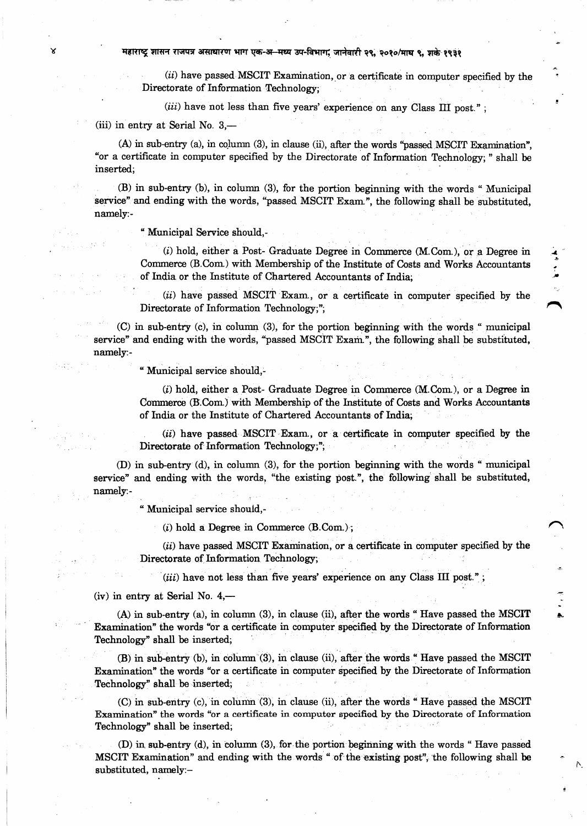महाराष्ट्र शासन राजपत्र असाधारण भाग एक-अ-मध्य उप-विभाग, जानेवारी २९, २०१०/माघ ९, शके १९३१

(ii) have passed MSCIT Examination, or a certificate in computer specified by the Directorate of Information Technology;

(iii) have not less than five years' experience on any Class III post.";

(iii) in entry at Serial No. 3,-

(A) in sub-entry (a), in column (3), in clause (ii), after the words "passed MSCIT Examination". "or a certificate in computer specified by the Directorate of Information Technology; " shall be inserted:

(B) in sub-entry (b), in column (3), for the portion beginning with the words "Municipal service" and ending with the words, "passed MSCIT Exam.", the following shall be substituted. namely:-

" Municipal Service should,-

(i) hold, either a Post- Graduate Degree in Commerce (M.Com.), or a Degree in Commerce (B.Com.) with Membership of the Institute of Costs and Works Accountants of India or the Institute of Chartered Accountants of India;

(ii) have passed MSCIT Exam., or a certificate in computer specified by the Directorate of Information Technology;";

(C) in sub-entry (c), in column (3), for the portion beginning with the words " municipal service" and ending with the words, "passed MSCIT Exam.", the following shall be substituted, namely:-

" Municipal service should,-

(i) hold, either a Post- Graduate Degree in Commerce (M.Com.), or a Degree in Commerce (B.Com.) with Membership of the Institute of Costs and Works Accountants of India or the Institute of Chartered Accountants of India;

(ii) have passed MSCIT Exam., or a certificate in computer specified by the Directorate of Information Technology;";

(D) in sub-entry (d), in column (3), for the portion beginning with the words "municipal service" and ending with the words, "the existing post.", the following shall be substituted, namely:-

" Municipal service should,-

 $(i)$  hold a Degree in Commerce  $(B. Com.)$ ;

(ii) have passed MSCIT Examination, or a certificate in computer specified by the Directorate of Information Technology,

(iii) have not less than five years' experience on any Class III post.";

(iv) in entry at Serial No.  $4,$ —

 $(A)$  in sub-entry (a), in column (3), in clause (ii), after the words "Have passed the MSCIT Examination" the words "or a certificate in computer specified by the Directorate of Information Technology" shall be inserted;

(B) in sub-entry (b), in column (3), in clause (ii), after the words "Have passed the MSCIT Examination" the words "or a certificate in computer specified by the Directorate of Information Technology" shall be inserted;

(C) in sub-entry (c), in column (3), in clause (ii), after the words "Have passed the MSCIT Examination" the words "or a certificate in computer specified by the Directorate of Information Technology" shall be inserted;

(D) in sub-entry (d), in column (3), for the portion beginning with the words "Have passed MSCIT Examination" and ending with the words " of the existing post", the following shall be substituted, namely:-